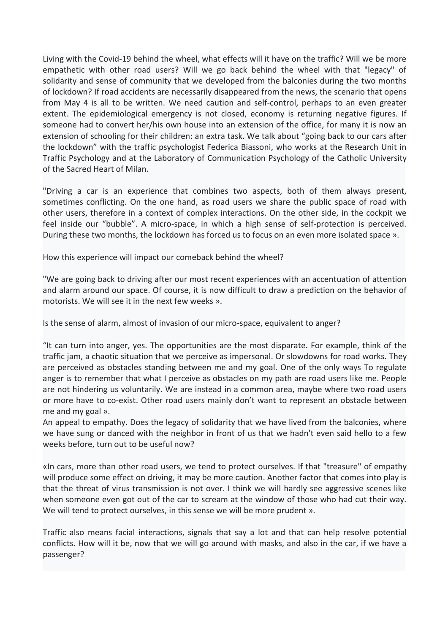Living with the Covid-19 behind the wheel, what effects will it have on the traffic? Will we be more empathetic with other road users? Will we go back behind the wheel with that "legacy" of solidarity and sense of communit Living with the Covid-19 behind the wheel, what effects will it have on the traffic? Will we be more empathetic with other road users? Will we go back behind the wheel with that "legacy" of solidarity and sense of communit Living with the Covid-19 behind the wheel, what effects will it have on the traffic? Will we be more<br>empathetic with other road users? Will we go back behind the wheel with that "legacy" of<br>solidarity and sense of communit Living with the Covid-19 behind the wheel, what effects will it have on the traffic? Will we be more<br>empathetic with other road users? Will we go back behind the wheel with that "legacy" of<br>solidarity and sense of communit Living with the Covid-19 behind the wheel, what effects will it have on the traffic? Will we be more empathetic with other road users? Will we go back behind the wheel with that "legacy" of solidarity and sense of communit Living with the Covid-19 behind the wheel, what effects will it have on the traffic? Will we be more empathetic with other road users? Will we go back behind the wheel with that "legacy" of solidarity and sense of communit Living with the Covid-19 behind the wheel, what effects will it have on the traffic? Will we be more solidarity unto ther road users? Will we go back behind the wheel with that "legacy" of solidarity and sense of community Living with the Covid-19 behind the wheel, what effects will it have on the traffic? Will we be more<br>
empathetic with other road users? Will we go back behind the wheel with that "legacy" of<br>
solidarity and sense of commun Living with the Covid-19 behind the wheel, what effects will it have on the traffic? Will we be more empathetic with other road users? Will we go back behind the wheel with that "legacy" of solidarity and sense of communit Living with the Covid-19 behind the wheel, what effects will it have on the traffic? Will we be more<br>empathetic with other road users? Will we go back behind the wheel with that "legacy" of<br>solidarity and sense of communit Living with the Covid-19 behind the wheel, what effects will it have on the traffic? Will we solidarity unto the road users? Will we go back behind the wheel with that "lit have solidarity and sense of community that we de Living with the Covid-19 behind the wheel, what effects will it have on the traffic? Will we be more engineptate c with other road users? Will we go back behind the wheel with that "legacy" of solidarity and sense of commu Living with the Covid-19 behind the wheel, what effects will it have on the traffic? Will we be more<br>empathetic with other road users? Will we go back behind the wheel with that "legacy" of<br>of lockdown? If road accidents a Living with the Covid-19 behind the wheel, what effects will it have on the traffic? Will we be more<br>empathetic with other road users? Will we go back behind the wheel with that "legacy" of<br>solidarity and sense of communit Living with the Covid-19 behind the wheel, what effects will it have on the traffic? Will we be more<br>empathetic with other road users? Will we go back behind the wheel with that "legacy" of<br>solidarity and sense of communit Living with the Covid-19 behind the wheel, what effects will it have on the traffic? Will we be more<br>empathetic with other road users? Will we go back behind the wheel with that "legacy" of<br>solidarity and sense of communit empathetic with other road users? Will we go back behind the wheel with that "legacy" of<br>solidarity and sense of community that we elveloped from the balconies during the two months<br>of lockdown? If road accidents are neces of 1 Cockdown' I froad accenters are necessarily disappeared from the news, the scenaro that opensity only a is all to be written. We need caution and self-control, perhaps to an even greater extent. The epidemiological em If on May 4 is all to be written. We need caution and self-control, perhaps to an even greative figures. If someone had to convert her/his own house into an extension of the office, for many it is now an extension of schoo extent. The epotemological emergency is not closed, economy is returning negative fugures. If<br>someone had to convert her/his own house into an extension of the office, for many it is now an<br>extension of schooling for their

extension of schooling for their children: an extra task. We talk about "going back to our cars after<br>the lockdown" with the traffic psychologist Federica Biassoni, who works at the Research Unit in<br>Traffic Psychology and

Iraric Psychology and at the Laboratory of Communication Psychology of the Catholic University<br>
"Driving a car is an experience that combines two aspects, both of them always present,<br>
"Driving a car is an experience that "The sacred Heart of Milan.<br>
"Driving a car is an experience that combines two aspects, both of them always present,<br>
sometimes conflicting. On the one hand, as road users we share the public space of road with<br>
sometimes "Driving a car is an experience that combines two aspects, both of them always present,<br>sometimes conflicting. On the one hand, as road users we share the public space of road with<br>other users, therefore in a context of co "Driving a car is an experience that combines two aspects, both of them always present, there that contridues conflicting. On the one hand, as road users we share the public space of orad with other users, therefore in a c sometimes contriding. On the one hand, as road users we share the public space of road with<br>other users, therefore in a context of complex interactions. On the other side, in the cockpit we<br>feel inside our "bubble". A micr other users, therefore in a context of complex interactions. On the other side, in the co-exipt we<br>feel inside our "bubble". A micro-space, in which a high sense of self-protection is perceived.<br>During these two months, th real inside our "bubble". A micro-space, in which a high sense of self-protection<br>During these two months, the lockdown has forced us to focus on an even more iso<br>How this experience will impact our comeback behind the whe During these two months, the lockdown has forced us to focus on an even more isolated space ».<br>
How this experience will impact our comeback behind the wheel?<br>
"We are going back to driving after our most recent experience How this experience will impact our comeback behind the wheel?<br>"We are going back to driving after our most recent experiences with an accentuation of attention<br>and alarm around our space. Of course, it is now difficult to How this experience will impact our comeback behind the wheel?<br>
"We are going back to driving after our most recent experiences with an accentuation of attention<br>
and alarm around our space. Of course, it is now difficult "We are going back to driving after our most recent experiences with an accentuation of attention<br>and alarm around our space. Of course, it is now difficult to draw a prediction on the behavior of<br>motorists. We will see it and alarm around our space. Of course, it is now difficult to draw a prediction on the behavior of<br>site sense of alarm, almost of invasion of our micro-space, equivalent to anger?<br>"It can turn into anger, yes. The opportun motorists. We will see it in the next few weeks ».<br>
Is the sense of alarm, almost of invasion of our micro-space, equivalent to anger?<br>
"It can turn into anger, yes. The opportunities are the most disparate. For example, t Is the sense of alarm, almost of invasion of our micro-space, equivalent to anger?<br>"It can turn into anger, yes. The opportunities are the most disparate. For example, think of the<br>traffic jam, a chaotic situation that we Is the sense of alarm, almost of invasion of our micro-space, equivalent to anger?<br>"It can turn into anger, yes. The opportunities are the most disparate. For example, think of the<br>traffic jan, a chaotic situation that we "It can turn into anger, yes. The opportunities are the most disparate. For example, think of the<br>traffic jam, a chaotic situation that we perceive as impersonal. Or slowdowns for road works. They<br>are perceived as obstacle tratic jam, a chaotic struitston that we perceve as impersonal. Or siowawoms for road worsts. They are perceived as obstacles standing between me and my goal. One of the only ways To regulate anger is to remember that what

passenger?